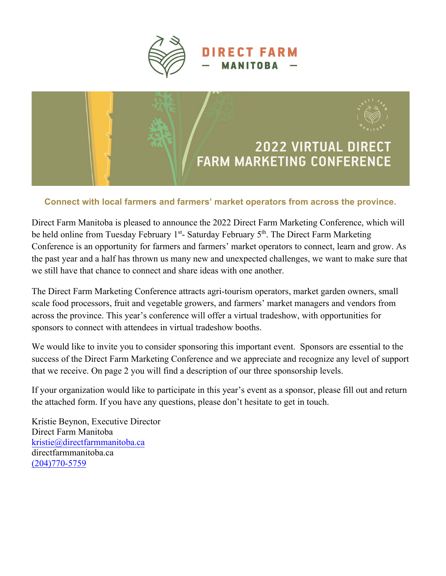



## **Connect with local farmers and farmers' market operators from across the province.**

Direct Farm Manitoba is pleased to announce the 2022 Direct Farm Marketing Conference, which will be held online from Tuesday February 1<sup>st</sup>- Saturday February 5<sup>th</sup>. The Direct Farm Marketing Conference is an opportunity for farmers and farmers' market operators to connect, learn and grow. As the past year and a half has thrown us many new and unexpected challenges, we want to make sure that we still have that chance to connect and share ideas with one another.

The Direct Farm Marketing Conference attracts agri-tourism operators, market garden owners, small scale food processors, fruit and vegetable growers, and farmers' market managers and vendors from across the province. This year's conference will offer a virtual tradeshow, with opportunities for sponsors to connect with attendees in virtual tradeshow booths.

We would like to invite you to consider sponsoring this important event. Sponsors are essential to the success of the Direct Farm Marketing Conference and we appreciate and recognize any level of support that we receive. On page 2 you will find a description of our three sponsorship levels.

If your organization would like to participate in this year's event as a sponsor, please fill out and return the attached form. If you have any questions, please don't hesitate to get in touch.

Kristie Beynon, Executive Director Direct Farm Manitoba [kristie@directfarmmanitoba.ca](mailto:kristie@directfarmmanitoba.ca) directfarmmanitoba.ca (204)770-5759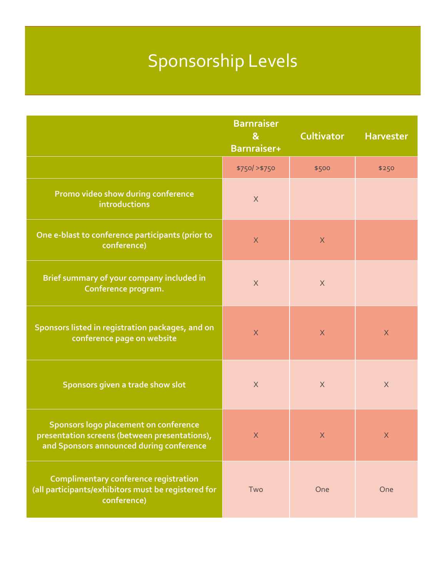# Sponsorship Levels

|                                                                                                                                    | <b>Barnraiser</b><br>$\mathbf{g}$<br>Barnraiser+ | <b>Cultivator</b> | <b>Harvester</b> |
|------------------------------------------------------------------------------------------------------------------------------------|--------------------------------------------------|-------------------|------------------|
|                                                                                                                                    | \$750/ > \$750                                   | \$500             | \$250            |
| Promo video show during conference<br>introductions                                                                                | $\times$                                         |                   |                  |
| One e-blast to conference participants (prior to<br>conference)                                                                    | $\times$                                         | $\times$          |                  |
| Brief summary of your company included in<br>Conference program.                                                                   | $\times$                                         | $\times$          |                  |
| Sponsors listed in registration packages, and on<br>conference page on website                                                     | $\times$                                         | $\times$          | $\sf X$          |
| Sponsors given a trade show slot                                                                                                   | $\times$                                         | $\mathsf X$       | $\times$         |
| Sponsors logo placement on conference<br>presentation screens (between presentations),<br>and Sponsors announced during conference | $\chi$                                           | $\times$          | $\sf X$          |
| <b>Complimentary conference registration</b><br>(all participants/exhibitors must be registered for<br>conference)                 | Two                                              | One               | One              |